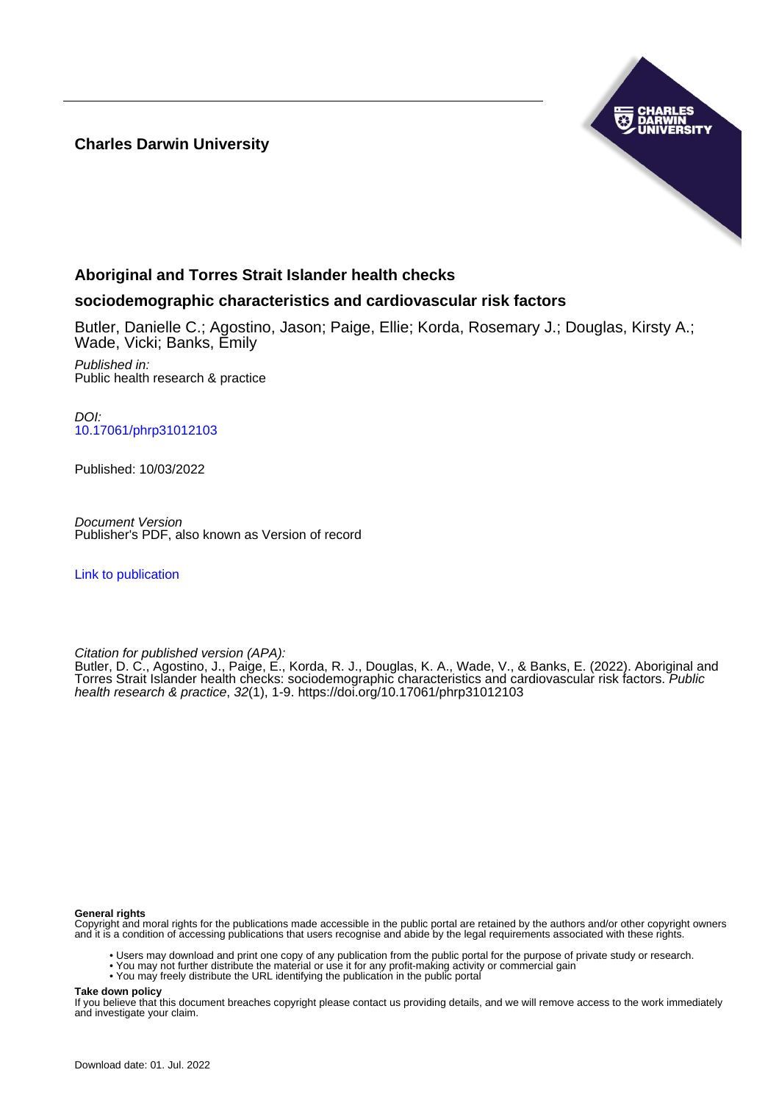### **Charles Darwin University**



### **Aboriginal and Torres Strait Islander health checks**

#### **sociodemographic characteristics and cardiovascular risk factors**

Butler, Danielle C.; Agostino, Jason; Paige, Ellie; Korda, Rosemary J.; Douglas, Kirsty A.; Wade, Vicki; Banks, Emily

Published in: Public health research & practice

DOI: [10.17061/phrp31012103](https://doi.org/10.17061/phrp31012103)

Published: 10/03/2022

Document Version Publisher's PDF, also known as Version of record

[Link to publication](https://researchers.cdu.edu.au/en/publications/ba7da9d7-3937-43e8-9508-c47584e5ae09)

Citation for published version (APA):

Butler, D. C., Agostino, J., Paige, E., Korda, R. J., Douglas, K. A., Wade, V., & Banks, E. (2022). Aboriginal and Torres Strait Islander health checks: sociodemographic characteristics and cardiovascular risk factors. Public health research & practice, 32(1), 1-9. <https://doi.org/10.17061/phrp31012103>

#### **General rights**

Copyright and moral rights for the publications made accessible in the public portal are retained by the authors and/or other copyright owners and it is a condition of accessing publications that users recognise and abide by the legal requirements associated with these rights.

- Users may download and print one copy of any publication from the public portal for the purpose of private study or research.
- You may not further distribute the material or use it for any profit-making activity or commercial gain
- You may freely distribute the URL identifying the publication in the public portal

**Take down policy**

If you believe that this document breaches copyright please contact us providing details, and we will remove access to the work immediately and investigate your claim.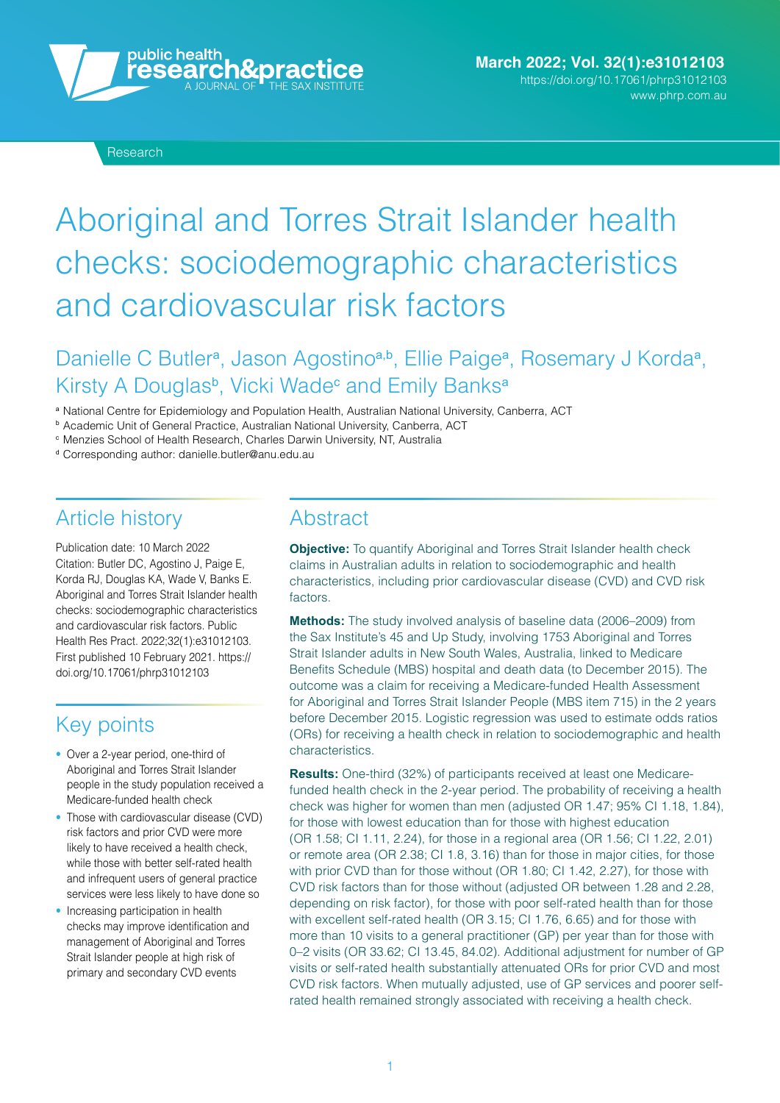

# Aboriginal and Torres Strait Islander health checks: sociodemographic characteristics and cardiovascular risk factors

# Danielle C Butler<sup>a</sup>, Jason Agostino<sup>a,b</sup>, Ellie Paige<sup>a</sup>, Rosemary J Korda<sup>a</sup>, Kirsty A Douglas<sup>b</sup>, Vicki Wade<sup>c</sup> and Emily Banks<sup>a</sup>

<sup>a</sup> National Centre for Epidemiology and Population Health, Australian National University, Canberra, ACT

<sup>b</sup> Academic Unit of General Practice, Australian National University, Canberra, ACT

<sup>c</sup> Menzies School of Health Research, Charles Darwin University, NT, Australia

<sup>d</sup> Corresponding author: [danielle.butler@anu.edu.au](mailto:danielle.butler@anu.edu.au)

# Article history

Publication date: 10 March 2022 Citation: Butler DC, Agostino J, Paige E, Korda RJ, Douglas KA, Wade V, Banks E. Aboriginal and Torres Strait Islander health checks: sociodemographic characteristics and cardiovascular risk factors. Public Health Res Pract. 2022;32(1):e31012103. [First published 10 February 2021. https://](https://doi.org/10.17061/phrp31012103) doi.org/10.17061[/phrp31012103](https://doi.org/10.17061/phrp31012103) 

# Key points

- Over a 2-year period, one-third of Aboriginal and Torres Strait Islander people in the study population received a Medicare-funded health check
- Those with cardiovascular disease (CVD) risk factors and prior CVD were more likely to have received a health check, while those with better self-rated health and infrequent users of general practice services were less likely to have done so
- Increasing participation in health checks may improve identification and management of Aboriginal and Torres Strait Islander people at high risk of primary and secondary CVD events

### **Abstract**

**Objective:** To quantify Aboriginal and Torres Strait Islander health check claims in Australian adults in relation to sociodemographic and health characteristics, including prior cardiovascular disease (CVD) and CVD risk factors.

**Methods:** The study involved analysis of baseline data (2006–2009) from the Sax Institute's 45 and Up Study, involving 1753 Aboriginal and Torres Strait Islander adults in New South Wales, Australia, linked to Medicare Benefits Schedule (MBS) hospital and death data (to December 2015). The outcome was a claim for receiving a Medicare-funded Health Assessment for Aboriginal and Torres Strait Islander People (MBS item 715) in the 2 years before December 2015. Logistic regression was used to estimate odds ratios (ORs) for receiving a health check in relation to sociodemographic and health characteristics.

**Results:** One-third (32%) of participants received at least one Medicarefunded health check in the 2-year period. The probability of receiving a health check was higher for women than men (adjusted OR 1.47; 95% CI 1.18, 1.84), for those with lowest education than for those with highest education (OR 1.58; CI 1.11, 2.24), for those in a regional area (OR 1.56; CI 1.22, 2.01) or remote area (OR 2.38; CI 1.8, 3.16) than for those in major cities, for those with prior CVD than for those without (OR 1.80; CI 1.42, 2.27), for those with CVD risk factors than for those without (adjusted OR between 1.28 and 2.28, depending on risk factor), for those with poor self-rated health than for those with excellent self-rated health (OR 3.15; CI 1.76, 6.65) and for those with more than 10 visits to a general practitioner (GP) per year than for those with 0–2 visits (OR 33.62; CI 13.45, 84.02). Additional adjustment for number of GP visits or self-rated health substantially attenuated ORs for prior CVD and most CVD risk factors. When mutually adjusted, use of GP services and poorer selfrated health remained strongly associated with receiving a health check.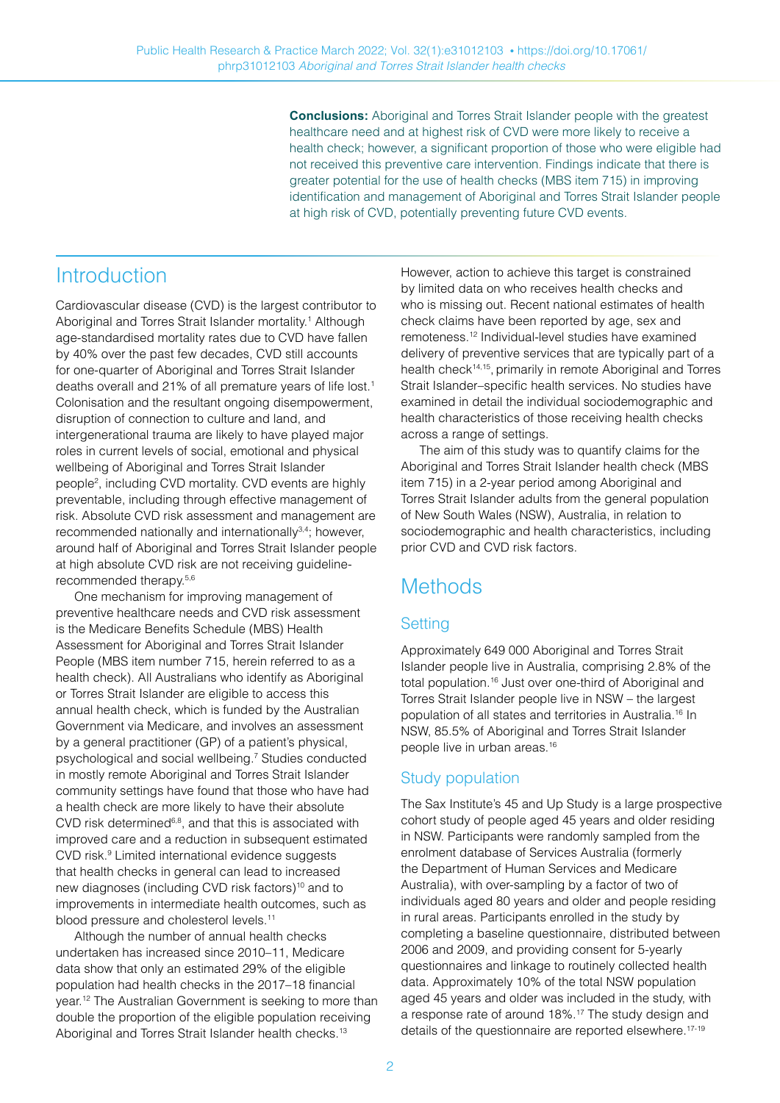**Conclusions:** Aboriginal and Torres Strait Islander people with the greatest healthcare need and at highest risk of CVD were more likely to receive a health check; however, a significant proportion of those who were eligible had not received this preventive care intervention. Findings indicate that there is greater potential for the use of health checks (MBS item 715) in improving identification and management of Aboriginal and Torres Strait Islander people at high risk of CVD, potentially preventing future CVD events.

# **Introduction**

Cardiovascular disease (CVD) is the largest contributor to Aboriginal and Torres Strait Islander mortality.<sup>1</sup> Although age-standardised mortality rates due to CVD have fallen by 40% over the past few decades, CVD still accounts for one-quarter of Aboriginal and Torres Strait Islander deaths overall and 21% of all premature years of life lost.<sup>1</sup> Colonisation and the resultant ongoing disempowerment, disruption of connection to culture and land, and intergenerational trauma are likely to have played major roles in current levels of social, emotional and physical wellbeing of Aboriginal and Torres Strait Islander people2 , including CVD mortality. CVD events are highly preventable, including through effective management of risk. Absolute CVD risk assessment and management are recommended nationally and internationally<sup>3,4</sup>; however, around half of Aboriginal and Torres Strait Islander people at high absolute CVD risk are not receiving guidelinerecommended therapy.5,6

One mechanism for improving management of preventive healthcare needs and CVD risk assessment is the Medicare Benefits Schedule (MBS) Health Assessment for Aboriginal and Torres Strait Islander People (MBS item number 715, herein referred to as a health check). All Australians who identify as Aboriginal or Torres Strait Islander are eligible to access this annual health check, which is funded by the Australian Government via Medicare, and involves an assessment by a general practitioner (GP) of a patient's physical, psychological and social wellbeing.7 Studies conducted in mostly remote Aboriginal and Torres Strait Islander community settings have found that those who have had a health check are more likely to have their absolute CVD risk determined<sup>6,8</sup>, and that this is associated with improved care and a reduction in subsequent estimated CVD risk.9 Limited international evidence suggests that health checks in general can lead to increased new diagnoses (including CVD risk factors)<sup>10</sup> and to improvements in intermediate health outcomes, such as blood pressure and cholesterol levels.<sup>11</sup>

Although the number of annual health checks undertaken has increased since 2010–11, Medicare data show that only an estimated 29% of the eligible population had health checks in the 2017–18 financial year.12 The Australian Government is seeking to more than double the proportion of the eligible population receiving Aboriginal and Torres Strait Islander health checks.<sup>13</sup>

However, action to achieve this target is constrained by limited data on who receives health checks and who is missing out. Recent national estimates of health check claims have been reported by age, sex and remoteness.12 Individual-level studies have examined delivery of preventive services that are typically part of a health check14,15, primarily in remote Aboriginal and Torres Strait Islander–specific health services. No studies have examined in detail the individual sociodemographic and health characteristics of those receiving health checks across a range of settings.

The aim of this study was to quantify claims for the Aboriginal and Torres Strait Islander health check (MBS item 715) in a 2-year period among Aboriginal and Torres Strait Islander adults from the general population of New South Wales (NSW), Australia, in relation to sociodemographic and health characteristics, including prior CVD and CVD risk factors.

# **Methods**

### **Setting**

Approximately 649 000 Aboriginal and Torres Strait Islander people live in Australia, comprising 2.8% of the total population.16 Just over one-third of Aboriginal and Torres Strait Islander people live in NSW – the largest population of all states and territories in Australia.16 In NSW, 85.5% of Aboriginal and Torres Strait Islander people live in urban areas.16

### Study population

The Sax Institute's 45 and Up Study is a large prospective cohort study of people aged 45 years and older residing in NSW. Participants were randomly sampled from the enrolment database of Services Australia (formerly the Department of Human Services and Medicare Australia), with over-sampling by a factor of two of individuals aged 80 years and older and people residing in rural areas. Participants enrolled in the study by completing a baseline questionnaire, distributed between 2006 and 2009, and providing consent for 5-yearly questionnaires and linkage to routinely collected health data. Approximately 10% of the total NSW population aged 45 years and older was included in the study, with a response rate of around 18%.17 The study design and details of the questionnaire are reported elsewhere.<sup>17-19</sup>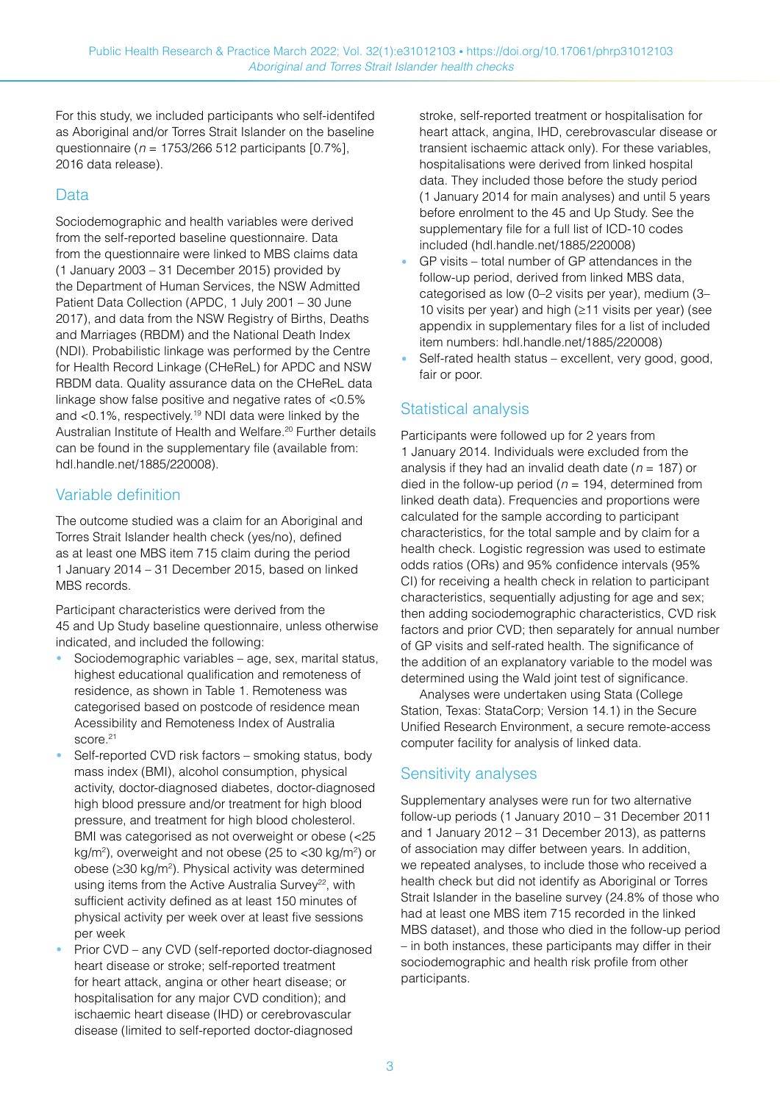For this study, we included participants who self-identifed as Aboriginal and/or Torres Strait Islander on the baseline questionnaire ( $n = 1753/266512$  participants [0.7%], 2016 data release).

### Data

Sociodemographic and health variables were derived from the self-reported baseline questionnaire. Data from the questionnaire were linked to MBS claims data (1 January 2003 – 31 December 2015) provided by the Department of Human Services, the NSW Admitted Patient Data Collection (APDC, 1 July 2001 – 30 June 2017), and data from the NSW Registry of Births, Deaths and Marriages (RBDM) and the National Death Index (NDI). Probabilistic linkage was performed by the Centre for Health Record Linkage (CHeReL) for APDC and NSW RBDM data. Quality assurance data on the CHeReL data linkage show false positive and negative rates of <0.5% and <0.1%, respectively.19 NDI data were linked by the Australian Institute of Health and Welfare.<sup>20</sup> Further details can be found in the supplementary file (available from: [hdl.handle.net/1885/220008](http://hdl.handle.net/1885/220008)).

### Variable definition

The outcome studied was a claim for an Aboriginal and Torres Strait Islander health check (yes/no), defined as at least one MBS item 715 claim during the period 1 January 2014 – 31 December 2015, based on linked MBS records.

Participant characteristics were derived from the 45 and Up Study baseline questionnaire, unless otherwise indicated, and included the following:

- **•** Sociodemographic variables age, sex, marital status, highest educational qualification and remoteness of residence, as shown in Table 1. Remoteness was categorised based on postcode of residence mean Acessibility and Remoteness Index of Australia score.<sup>21</sup>
- **•** Self-reported CVD risk factors smoking status, body mass index (BMI), alcohol consumption, physical activity, doctor-diagnosed diabetes, doctor-diagnosed high blood pressure and/or treatment for high blood pressure, and treatment for high blood cholesterol. BMI was categorised as not overweight or obese (<25 kg/m<sup>2</sup>), overweight and not obese (25 to <30 kg/m<sup>2</sup>) or obese (≥30 kg/m<sup>2</sup>). Physical activity was determined using items from the Active Australia Survey<sup>22</sup>, with sufficient activity defined as at least 150 minutes of physical activity per week over at least five sessions per week
- **•** Prior CVD any CVD (self-reported doctor-diagnosed heart disease or stroke; self-reported treatment for heart attack, angina or other heart disease; or hospitalisation for any major CVD condition); and ischaemic heart disease (IHD) or cerebrovascular disease (limited to self-reported doctor-diagnosed

stroke, self-reported treatment or hospitalisation for heart attack, angina, IHD, cerebrovascular disease or transient ischaemic attack only). For these variables, hospitalisations were derived from linked hospital data. They included those before the study period (1 January 2014 for main analyses) and until 5 years before enrolment to the 45 and Up Study. See the supplementary file for a full list of ICD-10 codes included [\(hdl.handle.net/1885/220008\)](http://hdl.handle.net/1885/220008)

- **•** GP visits total number of GP attendances in the follow-up period, derived from linked MBS data, categorised as low (0–2 visits per year), medium (3– 10 visits per year) and high (≥11 visits per year) (see appendix in supplementary files for a list of included item numbers: [hdl.handle.net/1885/220008](http://hdl.handle.net/1885/220008))
- **•** Self-rated health status excellent, very good, good, fair or poor.

### Statistical analysis

Participants were followed up for 2 years from 1 January 2014. Individuals were excluded from the analysis if they had an invalid death date ( $n = 187$ ) or died in the follow-up period ( $n = 194$ , determined from linked death data). Frequencies and proportions were calculated for the sample according to participant characteristics, for the total sample and by claim for a health check. Logistic regression was used to estimate odds ratios (ORs) and 95% confidence intervals (95% CI) for receiving a health check in relation to participant characteristics, sequentially adjusting for age and sex; then adding sociodemographic characteristics, CVD risk factors and prior CVD; then separately for annual number of GP visits and self-rated health. The significance of the addition of an explanatory variable to the model was determined using the Wald joint test of significance.

Analyses were undertaken using Stata (College Station, Texas: StataCorp; Version 14.1) in the Secure Unified Research Environment, a secure remote-access computer facility for analysis of linked data.

### Sensitivity analyses

Supplementary analyses were run for two alternative follow-up periods (1 January 2010 – 31 December 2011 and 1 January 2012 – 31 December 2013), as patterns of association may differ between years. In addition, we repeated analyses, to include those who received a health check but did not identify as Aboriginal or Torres Strait Islander in the baseline survey (24.8% of those who had at least one MBS item 715 recorded in the linked MBS dataset), and those who died in the follow-up period – in both instances, these participants may differ in their sociodemographic and health risk profile from other participants.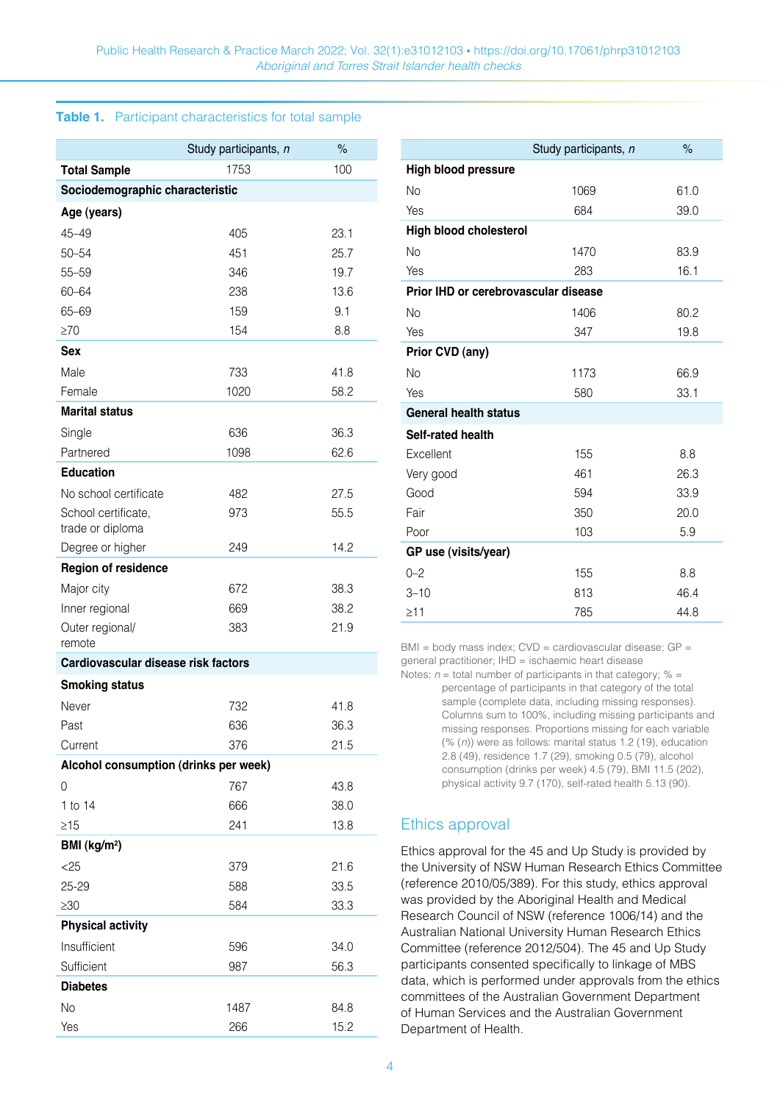#### **Table 1.** Participant characteristics for total sample

|                                         | Study participants, n | $\%$ |
|-----------------------------------------|-----------------------|------|
| <b>Total Sample</b>                     | 1753                  | 100  |
| Sociodemographic characteristic         |                       |      |
| Age (years)                             |                       |      |
| $45 - 49$                               | 405                   | 23.1 |
| $50 - 54$                               | 451                   | 25.7 |
| 55-59                                   | 346                   | 19.7 |
| 60-64                                   | 238                   | 13.6 |
| 65-69                                   | 159                   | 9.1  |
| $\geq 70$                               | 154                   | 8.8  |
| Sex                                     |                       |      |
| Male                                    | 733                   | 41.8 |
| Female                                  | 1020                  | 58.2 |
| <b>Marital status</b>                   |                       |      |
| Single                                  | 636                   | 36.3 |
| Partnered                               | 1098                  | 62.6 |
| <b>Education</b>                        |                       |      |
| No school certificate                   | 482                   | 27.5 |
| School certificate,<br>trade or diploma | 973                   | 55.5 |
| Degree or higher                        | 249                   | 14.2 |
| <b>Region of residence</b>              |                       |      |
| Major city                              | 672                   | 38.3 |
| Inner regional                          | 669                   | 38.2 |
| Outer regional/<br>remote               | 383                   | 21.9 |
| Cardiovascular disease risk factors     |                       |      |
| <b>Smoking status</b>                   |                       |      |
| Never                                   | 732                   | 41.8 |
| Past                                    | 636                   | 36.3 |
| Current                                 | 376                   | 21.5 |
| Alcohol consumption (drinks per week)   |                       |      |
| 0                                       | 767                   | 43.8 |
| 1 to 14                                 | 666                   | 38.0 |
| $\geq$ 15                               | 241                   | 13.8 |
| BMI (kg/m <sup>2</sup> )                |                       |      |
| $<$ 25                                  | 379                   | 21.6 |
| 25-29                                   | 588                   | 33.5 |
| $\geq 30$                               | 584                   | 33.3 |
| <b>Physical activity</b>                |                       |      |
| Insufficient                            | 596                   | 34.0 |
| Sufficient                              | 987                   | 56.3 |
| <b>Diabetes</b>                         |                       |      |
| No                                      | 1487                  | 84.8 |
| Yes                                     | 266                   | 15.2 |

|                                      | Study participants, n | $\%$ |
|--------------------------------------|-----------------------|------|
| <b>High blood pressure</b>           |                       |      |
| No                                   | 1069                  | 61.0 |
| Yes                                  | 684                   | 39.0 |
| High blood cholesterol               |                       |      |
| <b>No</b>                            | 1470                  | 83.9 |
| Yes                                  | 283                   | 16.1 |
| Prior IHD or cerebrovascular disease |                       |      |
| <b>No</b>                            | 1406                  | 80.2 |
| Yes                                  | 347                   | 19.8 |
| Prior CVD (any)                      |                       |      |
| <b>No</b>                            | 1173                  | 66.9 |
| Yes                                  | 580                   | 33.1 |
| <b>General health status</b>         |                       |      |
| Self-rated health                    |                       |      |
| Excellent                            | 155                   | 8.8  |
| Very good                            | 461                   | 26.3 |
| Good                                 | 594                   | 33.9 |
| Fair                                 | 350                   | 20.0 |
| Poor                                 | 103                   | 5.9  |
| GP use (visits/year)                 |                       |      |
| $0 - 2$                              | 155                   | 8.8  |
| $3 - 10$                             | 813                   | 46.4 |
| >11                                  | 785                   | 44.8 |

BMI = body mass index; CVD = cardiovascular disease; GP = general practitioner; IHD = ischaemic heart disease

Notes:  $n =$  total number of participants in that category; % = percentage of participants in that category of the total sample (complete data, including missing responses). Columns sum to 100%, including missing participants and missing responses. Proportions missing for each variable (% (n)) were as follows: marital status 1.2 (19), education 2.8 (49), residence 1.7 (29), smoking 0.5 (79), alcohol consumption (drinks per week) 4.5 (79), BMI 11.5 (202), physical activity 9.7 (170), self-rated health 5.13 (90).

### Ethics approval

Ethics approval for the 45 and Up Study is provided by the University of NSW Human Research Ethics Committee (reference 2010/05/389). For this study, ethics approval was provided by the Aboriginal Health and Medical Research Council of NSW (reference 1006/14) and the Australian National University Human Research Ethics Committee (reference 2012/504). The 45 and Up Study participants consented specifically to linkage of MBS data, which is performed under approvals from the ethics committees of the Australian Government Department of Human Services and the Australian Government Department of Health.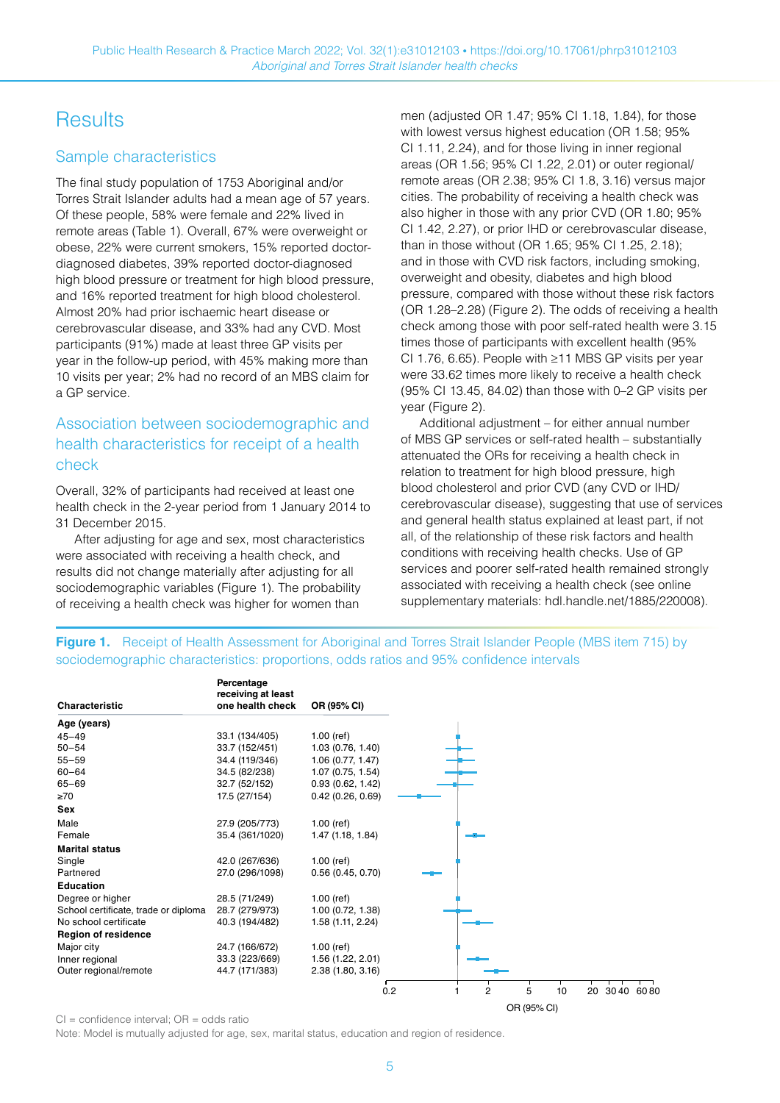# **Results**

### Sample characteristics

The final study population of 1753 Aboriginal and/or Torres Strait Islander adults had a mean age of 57 years. Of these people, 58% were female and 22% lived in remote areas (Table 1). Overall, 67% were overweight or obese, 22% were current smokers, 15% reported doctordiagnosed diabetes, 39% reported doctor-diagnosed high blood pressure or treatment for high blood pressure, and 16% reported treatment for high blood cholesterol. Almost 20% had prior ischaemic heart disease or cerebrovascular disease, and 33% had any CVD. Most participants (91%) made at least three GP visits per year in the follow-up period, with 45% making more than 10 visits per year; 2% had no record of an MBS claim for a GP service.

### Association between sociodemographic and health characteristics for receipt of a health check

Overall, 32% of participants had received at least one health check in the 2-year period from 1 January 2014 to 31 December 2015.

After adjusting for age and sex, most characteristics were associated with receiving a health check, and results did not change materially after adjusting for all sociodemographic variables (Figure 1). The probability of receiving a health check was higher for women than

men (adjusted OR 1.47; 95% CI 1.18, 1.84), for those with lowest versus highest education (OR 1.58; 95% CI 1.11, 2.24), and for those living in inner regional areas (OR 1.56; 95% CI 1.22, 2.01) or outer regional/ remote areas (OR 2.38; 95% CI 1.8, 3.16) versus major cities. The probability of receiving a health check was also higher in those with any prior CVD (OR 1.80; 95% CI 1.42, 2.27), or prior IHD or cerebrovascular disease, than in those without (OR 1.65; 95% CI 1.25, 2.18); and in those with CVD risk factors, including smoking, overweight and obesity, diabetes and high blood pressure, compared with those without these risk factors (OR 1.28–2.28) (Figure 2). The odds of receiving a health check among those with poor self-rated health were 3.15 times those of participants with excellent health (95% CI 1.76, 6.65). People with ≥11 MBS GP visits per year were 33.62 times more likely to receive a health check (95% CI 13.45, 84.02) than those with 0–2 GP visits per year (Figure 2).

Additional adjustment – for either annual number of MBS GP services or self-rated health – substantially attenuated the ORs for receiving a health check in relation to treatment for high blood pressure, high blood cholesterol and prior CVD (any CVD or IHD/ cerebrovascular disease), suggesting that use of services and general health status explained at least part, if not all, of the relationship of these risk factors and health conditions with receiving health checks. Use of GP services and poorer self-rated health remained strongly associated with receiving a health check (see online supplementary materials: [hdl.handle.net/1885/220008\)](http://hdl.handle.net/1885/220008).

OR (95% CI)

#### **Figure 1.** Receipt of Health Assessment for Aboriginal and Torres Strait Islander People (MBS item 715) by sociodemographic characteristics: proportions, odds ratios and 95% confidence intervals

| Characteristic                       | one health check | OR (95% CI)       |     |   |   |    |    |           |
|--------------------------------------|------------------|-------------------|-----|---|---|----|----|-----------|
|                                      |                  |                   |     |   |   |    |    |           |
| Age (years)                          |                  |                   |     |   |   |    |    |           |
| 45–49                                | 33.1 (134/405)   | $1.00$ (ref)      |     |   |   |    |    |           |
| $50 - 54$                            | 33.7 (152/451)   | 1.03 (0.76, 1.40) |     |   |   |    |    |           |
| 55-59                                | 34.4 (119/346)   | 1.06 (0.77, 1.47) |     |   |   |    |    |           |
| 60-64                                | 34.5 (82/238)    | 1.07 (0.75, 1.54) |     |   |   |    |    |           |
| 65–69                                | 32.7 (52/152)    | 0.93(0.62, 1.42)  |     |   |   |    |    |           |
| ≥70                                  | 17.5 (27/154)    | 0.42(0.26, 0.69)  |     |   |   |    |    |           |
| Sex                                  |                  |                   |     |   |   |    |    |           |
| Male                                 | 27.9 (205/773)   | $1.00$ (ref)      |     |   |   |    |    |           |
| Female                               | 35.4 (361/1020)  | 1.47 (1.18, 1.84) |     |   |   |    |    |           |
| Marital status                       |                  |                   |     |   |   |    |    |           |
| Single                               | 42.0 (267/636)   | 1.00 $(ref)$      |     |   |   |    |    |           |
| Partnered                            | 27.0 (296/1098)  | 0.56(0.45, 0.70)  |     |   |   |    |    |           |
| <b>Education</b>                     |                  |                   |     |   |   |    |    |           |
| Degree or higher                     | 28.5 (71/249)    | $1.00$ (ref)      |     |   |   |    |    |           |
| School certificate, trade or diploma | 28.7 (279/973)   | 1.00 (0.72, 1.38) |     |   |   |    |    |           |
| No school certificate                | 40.3 (194/482)   | 1.58 (1.11, 2.24) |     |   |   |    |    |           |
| Region of residence                  |                  |                   |     |   |   |    |    |           |
| Major city                           | 24.7 (166/672)   | 1.00 $(ref)$      |     |   |   |    |    |           |
| Inner regional                       | 33.3 (223/669)   | 1.56 (1.22, 2.01) |     |   |   |    |    |           |
| Outer regional/remote                | 44.7 (171/383)   | 2.38 (1.80, 3.16) |     |   |   |    |    |           |
|                                      |                  |                   | 0.2 | 2 | 5 | 10 | 20 | 3040 6080 |

 $Cl =$  confidence interval;  $OR =$  odds ratio

Note: Model is mutually adjusted for age, sex, marital status, education and region of residence.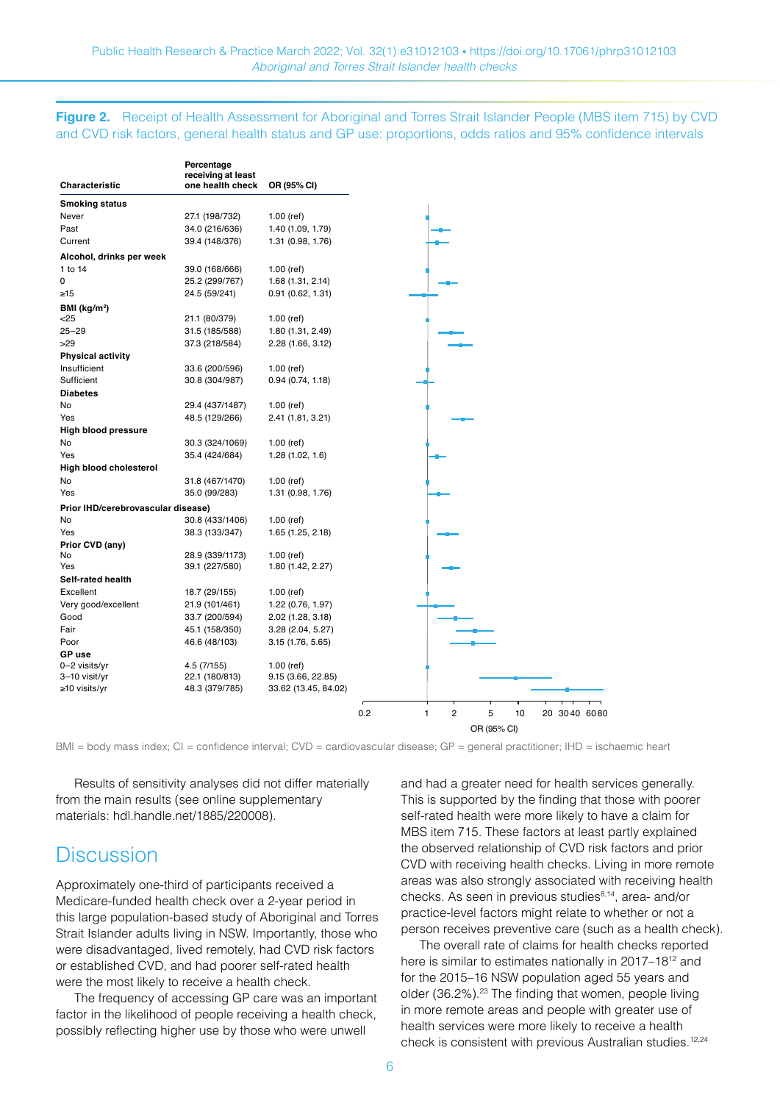#### **Figure 2.** Receipt of Health Assessment for Aboriginal and Torres Strait Islander People (MBS item 715) by CVD and CVD risk factors, general health status and GP use: proportions, odds ratios and 95% confidence intervals

| <b>Smoking status</b><br>Never<br>27.1 (198/732)<br>$1.00$ (ref)<br>34.0 (216/636)<br>1.40 (1.09, 1.79)<br>Past<br>Current<br>39.4 (148/376)<br>1.31 (0.98, 1.76)<br>Alcohol, drinks per week<br>$1.00$ (ref)<br>39.0 (168/666)<br>25.2 (299/767)<br>1.68(1.31, 2.14)<br>24.5 (59/241)<br>0.91(0.62, 1.31)<br>21.1 (80/379)<br>$1.00$ (ref)<br>31.5 (185/588)<br>1.80 (1.31, 2.49)<br>37.3 (218/584)<br>2.28 (1.66, 3.12)<br><b>Physical activity</b><br>Insufficient<br>33.6 (200/596)<br>$1.00$ (ref)<br>Sufficient<br>30.8 (304/987)<br>0.94(0.74, 1.18)<br><b>Diabetes</b><br>29.4 (437/1487)<br>$1.00$ (ref)<br>No<br>48.5 (129/266)<br>Yes<br>2.41 (1.81, 3.21)<br><b>High blood pressure</b><br>30.3 (324/1069)<br>$1.00$ (ref)<br>35.4 (424/684)<br>1.28(1.02, 1.6)<br>31.8 (467/1470)<br>$1.00$ (ref)<br>35.0 (99/283)<br>1.31 (0.98, 1.76)<br>Prior IHD/cerebrovascular disease)<br>30.8 (433/1406)<br>No<br>$1.00$ (ref)<br>Yes<br>38.3 (133/347)<br>1.65 (1.25, 2.18)<br>Prior CVD (any)<br>28.9 (339/1173)<br>No<br>$1.00$ (ref)<br>39.1 (227/580)<br>Yes<br>1.80 (1.42, 2.27)<br>Self-rated health<br>Excellent<br>18.7 (29/155)<br>$1.00$ (ref)<br>Very good/excellent<br>1.22 (0.76, 1.97)<br>21.9 (101/461)<br>33.7 (200/594)<br>2.02 (1.28, 3.18)<br>45.1 (158/350)<br>3.28 (2.04, 5.27)<br>46.6 (48/103)<br>3.15 (1.76, 5.65)<br>4.5 (7/155)<br>$1.00$ (ref)<br>22.1 (180/813)<br>9.15 (3.66, 22.85)<br>48.3 (379/785)<br>33.62 (13.45, 84.02) | Characteristic           | Percentage<br>receiving at least<br>one health check | OR (95% CI) |
|-------------------------------------------------------------------------------------------------------------------------------------------------------------------------------------------------------------------------------------------------------------------------------------------------------------------------------------------------------------------------------------------------------------------------------------------------------------------------------------------------------------------------------------------------------------------------------------------------------------------------------------------------------------------------------------------------------------------------------------------------------------------------------------------------------------------------------------------------------------------------------------------------------------------------------------------------------------------------------------------------------------------------------------------------------------------------------------------------------------------------------------------------------------------------------------------------------------------------------------------------------------------------------------------------------------------------------------------------------------------------------------------------------------------------------------------------------------------|--------------------------|------------------------------------------------------|-------------|
|                                                                                                                                                                                                                                                                                                                                                                                                                                                                                                                                                                                                                                                                                                                                                                                                                                                                                                                                                                                                                                                                                                                                                                                                                                                                                                                                                                                                                                                                   |                          |                                                      |             |
| 0.2                                                                                                                                                                                                                                                                                                                                                                                                                                                                                                                                                                                                                                                                                                                                                                                                                                                                                                                                                                                                                                                                                                                                                                                                                                                                                                                                                                                                                                                               |                          |                                                      |             |
|                                                                                                                                                                                                                                                                                                                                                                                                                                                                                                                                                                                                                                                                                                                                                                                                                                                                                                                                                                                                                                                                                                                                                                                                                                                                                                                                                                                                                                                                   |                          |                                                      |             |
|                                                                                                                                                                                                                                                                                                                                                                                                                                                                                                                                                                                                                                                                                                                                                                                                                                                                                                                                                                                                                                                                                                                                                                                                                                                                                                                                                                                                                                                                   |                          |                                                      |             |
|                                                                                                                                                                                                                                                                                                                                                                                                                                                                                                                                                                                                                                                                                                                                                                                                                                                                                                                                                                                                                                                                                                                                                                                                                                                                                                                                                                                                                                                                   |                          |                                                      |             |
|                                                                                                                                                                                                                                                                                                                                                                                                                                                                                                                                                                                                                                                                                                                                                                                                                                                                                                                                                                                                                                                                                                                                                                                                                                                                                                                                                                                                                                                                   |                          |                                                      |             |
|                                                                                                                                                                                                                                                                                                                                                                                                                                                                                                                                                                                                                                                                                                                                                                                                                                                                                                                                                                                                                                                                                                                                                                                                                                                                                                                                                                                                                                                                   | 1 to 14                  |                                                      |             |
|                                                                                                                                                                                                                                                                                                                                                                                                                                                                                                                                                                                                                                                                                                                                                                                                                                                                                                                                                                                                                                                                                                                                                                                                                                                                                                                                                                                                                                                                   | 0                        |                                                      |             |
|                                                                                                                                                                                                                                                                                                                                                                                                                                                                                                                                                                                                                                                                                                                                                                                                                                                                                                                                                                                                                                                                                                                                                                                                                                                                                                                                                                                                                                                                   | $\geq 15$                |                                                      |             |
|                                                                                                                                                                                                                                                                                                                                                                                                                                                                                                                                                                                                                                                                                                                                                                                                                                                                                                                                                                                                                                                                                                                                                                                                                                                                                                                                                                                                                                                                   | BMI (kg/m <sup>2</sup> ) |                                                      |             |
|                                                                                                                                                                                                                                                                                                                                                                                                                                                                                                                                                                                                                                                                                                                                                                                                                                                                                                                                                                                                                                                                                                                                                                                                                                                                                                                                                                                                                                                                   | $<$ 25                   |                                                      |             |
|                                                                                                                                                                                                                                                                                                                                                                                                                                                                                                                                                                                                                                                                                                                                                                                                                                                                                                                                                                                                                                                                                                                                                                                                                                                                                                                                                                                                                                                                   | $25 - 29$                |                                                      |             |
|                                                                                                                                                                                                                                                                                                                                                                                                                                                                                                                                                                                                                                                                                                                                                                                                                                                                                                                                                                                                                                                                                                                                                                                                                                                                                                                                                                                                                                                                   | >29                      |                                                      |             |
|                                                                                                                                                                                                                                                                                                                                                                                                                                                                                                                                                                                                                                                                                                                                                                                                                                                                                                                                                                                                                                                                                                                                                                                                                                                                                                                                                                                                                                                                   |                          |                                                      |             |
|                                                                                                                                                                                                                                                                                                                                                                                                                                                                                                                                                                                                                                                                                                                                                                                                                                                                                                                                                                                                                                                                                                                                                                                                                                                                                                                                                                                                                                                                   |                          |                                                      |             |
|                                                                                                                                                                                                                                                                                                                                                                                                                                                                                                                                                                                                                                                                                                                                                                                                                                                                                                                                                                                                                                                                                                                                                                                                                                                                                                                                                                                                                                                                   |                          |                                                      |             |
|                                                                                                                                                                                                                                                                                                                                                                                                                                                                                                                                                                                                                                                                                                                                                                                                                                                                                                                                                                                                                                                                                                                                                                                                                                                                                                                                                                                                                                                                   |                          |                                                      |             |
|                                                                                                                                                                                                                                                                                                                                                                                                                                                                                                                                                                                                                                                                                                                                                                                                                                                                                                                                                                                                                                                                                                                                                                                                                                                                                                                                                                                                                                                                   |                          |                                                      |             |
|                                                                                                                                                                                                                                                                                                                                                                                                                                                                                                                                                                                                                                                                                                                                                                                                                                                                                                                                                                                                                                                                                                                                                                                                                                                                                                                                                                                                                                                                   |                          |                                                      |             |
|                                                                                                                                                                                                                                                                                                                                                                                                                                                                                                                                                                                                                                                                                                                                                                                                                                                                                                                                                                                                                                                                                                                                                                                                                                                                                                                                                                                                                                                                   |                          |                                                      |             |
|                                                                                                                                                                                                                                                                                                                                                                                                                                                                                                                                                                                                                                                                                                                                                                                                                                                                                                                                                                                                                                                                                                                                                                                                                                                                                                                                                                                                                                                                   |                          |                                                      |             |
|                                                                                                                                                                                                                                                                                                                                                                                                                                                                                                                                                                                                                                                                                                                                                                                                                                                                                                                                                                                                                                                                                                                                                                                                                                                                                                                                                                                                                                                                   | No                       |                                                      |             |
|                                                                                                                                                                                                                                                                                                                                                                                                                                                                                                                                                                                                                                                                                                                                                                                                                                                                                                                                                                                                                                                                                                                                                                                                                                                                                                                                                                                                                                                                   | Yes                      |                                                      |             |
|                                                                                                                                                                                                                                                                                                                                                                                                                                                                                                                                                                                                                                                                                                                                                                                                                                                                                                                                                                                                                                                                                                                                                                                                                                                                                                                                                                                                                                                                   | High blood cholesterol   |                                                      |             |
|                                                                                                                                                                                                                                                                                                                                                                                                                                                                                                                                                                                                                                                                                                                                                                                                                                                                                                                                                                                                                                                                                                                                                                                                                                                                                                                                                                                                                                                                   | No                       |                                                      |             |
|                                                                                                                                                                                                                                                                                                                                                                                                                                                                                                                                                                                                                                                                                                                                                                                                                                                                                                                                                                                                                                                                                                                                                                                                                                                                                                                                                                                                                                                                   | Yes                      |                                                      |             |
| 1                                                                                                                                                                                                                                                                                                                                                                                                                                                                                                                                                                                                                                                                                                                                                                                                                                                                                                                                                                                                                                                                                                                                                                                                                                                                                                                                                                                                                                                                 |                          |                                                      |             |
|                                                                                                                                                                                                                                                                                                                                                                                                                                                                                                                                                                                                                                                                                                                                                                                                                                                                                                                                                                                                                                                                                                                                                                                                                                                                                                                                                                                                                                                                   |                          |                                                      |             |
|                                                                                                                                                                                                                                                                                                                                                                                                                                                                                                                                                                                                                                                                                                                                                                                                                                                                                                                                                                                                                                                                                                                                                                                                                                                                                                                                                                                                                                                                   |                          |                                                      |             |
|                                                                                                                                                                                                                                                                                                                                                                                                                                                                                                                                                                                                                                                                                                                                                                                                                                                                                                                                                                                                                                                                                                                                                                                                                                                                                                                                                                                                                                                                   |                          |                                                      |             |
|                                                                                                                                                                                                                                                                                                                                                                                                                                                                                                                                                                                                                                                                                                                                                                                                                                                                                                                                                                                                                                                                                                                                                                                                                                                                                                                                                                                                                                                                   |                          |                                                      |             |
|                                                                                                                                                                                                                                                                                                                                                                                                                                                                                                                                                                                                                                                                                                                                                                                                                                                                                                                                                                                                                                                                                                                                                                                                                                                                                                                                                                                                                                                                   |                          |                                                      |             |
|                                                                                                                                                                                                                                                                                                                                                                                                                                                                                                                                                                                                                                                                                                                                                                                                                                                                                                                                                                                                                                                                                                                                                                                                                                                                                                                                                                                                                                                                   |                          |                                                      |             |
|                                                                                                                                                                                                                                                                                                                                                                                                                                                                                                                                                                                                                                                                                                                                                                                                                                                                                                                                                                                                                                                                                                                                                                                                                                                                                                                                                                                                                                                                   |                          |                                                      |             |
|                                                                                                                                                                                                                                                                                                                                                                                                                                                                                                                                                                                                                                                                                                                                                                                                                                                                                                                                                                                                                                                                                                                                                                                                                                                                                                                                                                                                                                                                   |                          |                                                      |             |
|                                                                                                                                                                                                                                                                                                                                                                                                                                                                                                                                                                                                                                                                                                                                                                                                                                                                                                                                                                                                                                                                                                                                                                                                                                                                                                                                                                                                                                                                   |                          |                                                      |             |
|                                                                                                                                                                                                                                                                                                                                                                                                                                                                                                                                                                                                                                                                                                                                                                                                                                                                                                                                                                                                                                                                                                                                                                                                                                                                                                                                                                                                                                                                   | Good                     |                                                      |             |
|                                                                                                                                                                                                                                                                                                                                                                                                                                                                                                                                                                                                                                                                                                                                                                                                                                                                                                                                                                                                                                                                                                                                                                                                                                                                                                                                                                                                                                                                   | Fair                     |                                                      |             |
|                                                                                                                                                                                                                                                                                                                                                                                                                                                                                                                                                                                                                                                                                                                                                                                                                                                                                                                                                                                                                                                                                                                                                                                                                                                                                                                                                                                                                                                                   | Poor                     |                                                      |             |
|                                                                                                                                                                                                                                                                                                                                                                                                                                                                                                                                                                                                                                                                                                                                                                                                                                                                                                                                                                                                                                                                                                                                                                                                                                                                                                                                                                                                                                                                   | <b>GP</b> use            |                                                      |             |
|                                                                                                                                                                                                                                                                                                                                                                                                                                                                                                                                                                                                                                                                                                                                                                                                                                                                                                                                                                                                                                                                                                                                                                                                                                                                                                                                                                                                                                                                   | 0-2 visits/yr            |                                                      |             |
|                                                                                                                                                                                                                                                                                                                                                                                                                                                                                                                                                                                                                                                                                                                                                                                                                                                                                                                                                                                                                                                                                                                                                                                                                                                                                                                                                                                                                                                                   | 3-10 visit/yr            |                                                      |             |
|                                                                                                                                                                                                                                                                                                                                                                                                                                                                                                                                                                                                                                                                                                                                                                                                                                                                                                                                                                                                                                                                                                                                                                                                                                                                                                                                                                                                                                                                   | $\geq$ 10 visits/yr      |                                                      |             |
| 2                                                                                                                                                                                                                                                                                                                                                                                                                                                                                                                                                                                                                                                                                                                                                                                                                                                                                                                                                                                                                                                                                                                                                                                                                                                                                                                                                                                                                                                                 |                          |                                                      |             |
|                                                                                                                                                                                                                                                                                                                                                                                                                                                                                                                                                                                                                                                                                                                                                                                                                                                                                                                                                                                                                                                                                                                                                                                                                                                                                                                                                                                                                                                                   |                          |                                                      |             |
|                                                                                                                                                                                                                                                                                                                                                                                                                                                                                                                                                                                                                                                                                                                                                                                                                                                                                                                                                                                                                                                                                                                                                                                                                                                                                                                                                                                                                                                                   |                          |                                                      |             |

BMI = body mass index; CI = confidence interval; CVD = cardiovascular disease; GP = general practitioner; IHD = ischaemic heart

Results of sensitivity analyses did not differ materially from the main results (see online supplementary materials: [hdl.handle.net/1885/220008](http://hdl.handle.net/1885/220008)).

# **Discussion**

Approximately one-third of participants received a Medicare-funded health check over a 2-year period in this large population-based study of Aboriginal and Torres Strait Islander adults living in NSW. Importantly, those who were disadvantaged, lived remotely, had CVD risk factors or established CVD, and had poorer self-rated health were the most likely to receive a health check.

The frequency of accessing GP care was an important factor in the likelihood of people receiving a health check, possibly reflecting higher use by those who were unwell

and had a greater need for health services generally. This is supported by the finding that those with poorer self-rated health were more likely to have a claim for MBS item 715. These factors at least partly explained the observed relationship of CVD risk factors and prior CVD with receiving health checks. Living in more remote areas was also strongly associated with receiving health checks. As seen in previous studies<sup>8,14</sup>, area- and/or practice-level factors might relate to whether or not a person receives preventive care (such as a health check).

The overall rate of claims for health checks reported here is similar to estimates nationally in 2017–18<sup>12</sup> and for the 2015–16 NSW population aged 55 years and older (36.2%).<sup>23</sup> The finding that women, people living in more remote areas and people with greater use of health services were more likely to receive a health check is consistent with previous Australian studies.12,24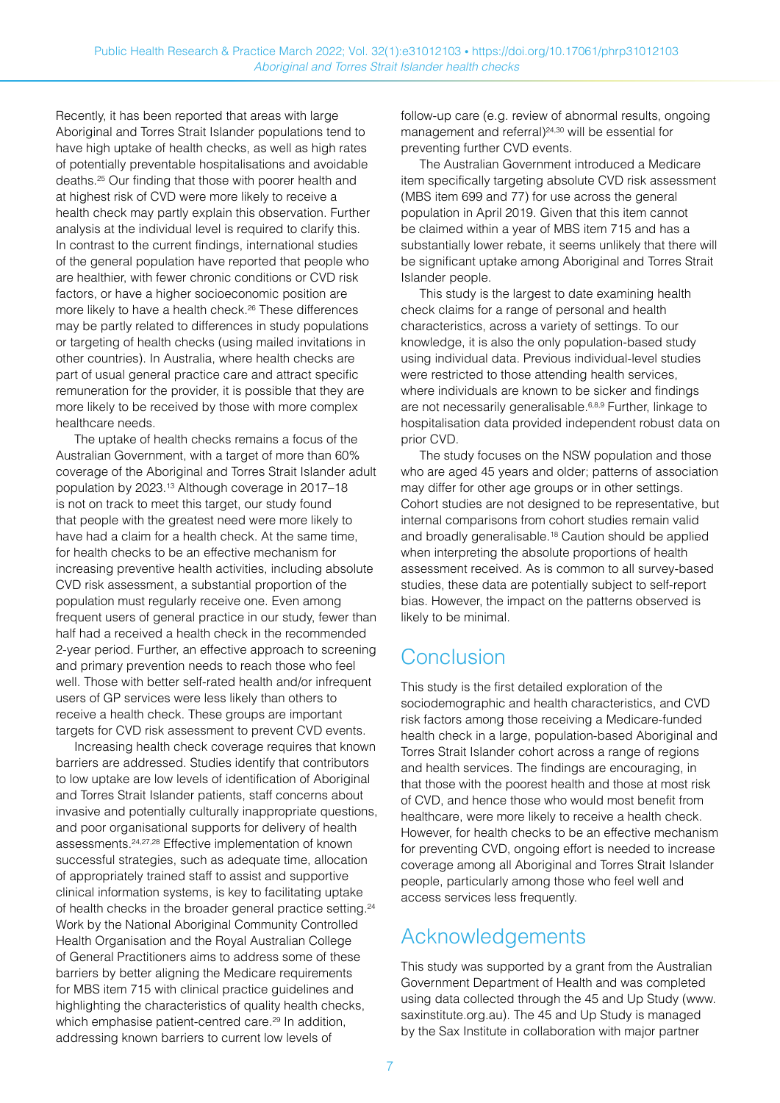Recently, it has been reported that areas with large Aboriginal and Torres Strait Islander populations tend to have high uptake of health checks, as well as high rates of potentially preventable hospitalisations and avoidable deaths.25 Our finding that those with poorer health and at highest risk of CVD were more likely to receive a health check may partly explain this observation. Further analysis at the individual level is required to clarify this. In contrast to the current findings, international studies of the general population have reported that people who are healthier, with fewer chronic conditions or CVD risk factors, or have a higher socioeconomic position are more likely to have a health check.26 These differences may be partly related to differences in study populations or targeting of health checks (using mailed invitations in other countries). In Australia, where health checks are part of usual general practice care and attract specific remuneration for the provider, it is possible that they are more likely to be received by those with more complex healthcare needs.

The uptake of health checks remains a focus of the Australian Government, with a target of more than 60% coverage of the Aboriginal and Torres Strait Islander adult population by 2023.13 Although coverage in 2017–18 is not on track to meet this target, our study found that people with the greatest need were more likely to have had a claim for a health check. At the same time, for health checks to be an effective mechanism for increasing preventive health activities, including absolute CVD risk assessment, a substantial proportion of the population must regularly receive one. Even among frequent users of general practice in our study, fewer than half had a received a health check in the recommended 2-year period. Further, an effective approach to screening and primary prevention needs to reach those who feel well. Those with better self-rated health and/or infrequent users of GP services were less likely than others to receive a health check. These groups are important targets for CVD risk assessment to prevent CVD events.

Increasing health check coverage requires that known barriers are addressed. Studies identify that contributors to low uptake are low levels of identification of Aboriginal and Torres Strait Islander patients, staff concerns about invasive and potentially culturally inappropriate questions, and poor organisational supports for delivery of health assessments.24,27,28 Effective implementation of known successful strategies, such as adequate time, allocation of appropriately trained staff to assist and supportive clinical information systems, is key to facilitating uptake of health checks in the broader general practice setting.<sup>24</sup> Work by the National Aboriginal Community Controlled Health Organisation and the Royal Australian College of General Practitioners aims to address some of these barriers by better aligning the Medicare requirements for MBS item 715 with clinical practice guidelines and highlighting the characteristics of quality health checks, which emphasise patient-centred care.<sup>29</sup> In addition, addressing known barriers to current low levels of

follow-up care (e.g. review of abnormal results, ongoing management and referral)<sup>24,30</sup> will be essential for preventing further CVD events.

The Australian Government introduced a Medicare item specifically targeting absolute CVD risk assessment (MBS item 699 and 77) for use across the general population in April 2019. Given that this item cannot be claimed within a year of MBS item 715 and has a substantially lower rebate, it seems unlikely that there will be significant uptake among Aboriginal and Torres Strait Islander people.

This study is the largest to date examining health check claims for a range of personal and health characteristics, across a variety of settings. To our knowledge, it is also the only population-based study using individual data. Previous individual-level studies were restricted to those attending health services, where individuals are known to be sicker and findings are not necessarily generalisable.<sup>6,8,9</sup> Further, linkage to hospitalisation data provided independent robust data on prior CVD.

The study focuses on the NSW population and those who are aged 45 years and older; patterns of association may differ for other age groups or in other settings. Cohort studies are not designed to be representative, but internal comparisons from cohort studies remain valid and broadly generalisable.<sup>18</sup> Caution should be applied when interpreting the absolute proportions of health assessment received. As is common to all survey-based studies, these data are potentially subject to self-report bias. However, the impact on the patterns observed is likely to be minimal.

# Conclusion

This study is the first detailed exploration of the sociodemographic and health characteristics, and CVD risk factors among those receiving a Medicare-funded health check in a large, population-based Aboriginal and Torres Strait Islander cohort across a range of regions and health services. The findings are encouraging, in that those with the poorest health and those at most risk of CVD, and hence those who would most benefit from healthcare, were more likely to receive a health check. However, for health checks to be an effective mechanism for preventing CVD, ongoing effort is needed to increase coverage among all Aboriginal and Torres Strait Islander people, particularly among those who feel well and access services less frequently.

# Acknowledgements

This study was supported by a grant from the Australian Government Department of Health and was completed using data collected through the 45 and Up Study [\(www.](https://www.saxinstitute.org.au/) [saxinstitute.org.au\)](https://www.saxinstitute.org.au/). The 45 and Up Study is managed by the Sax Institute in collaboration with major partner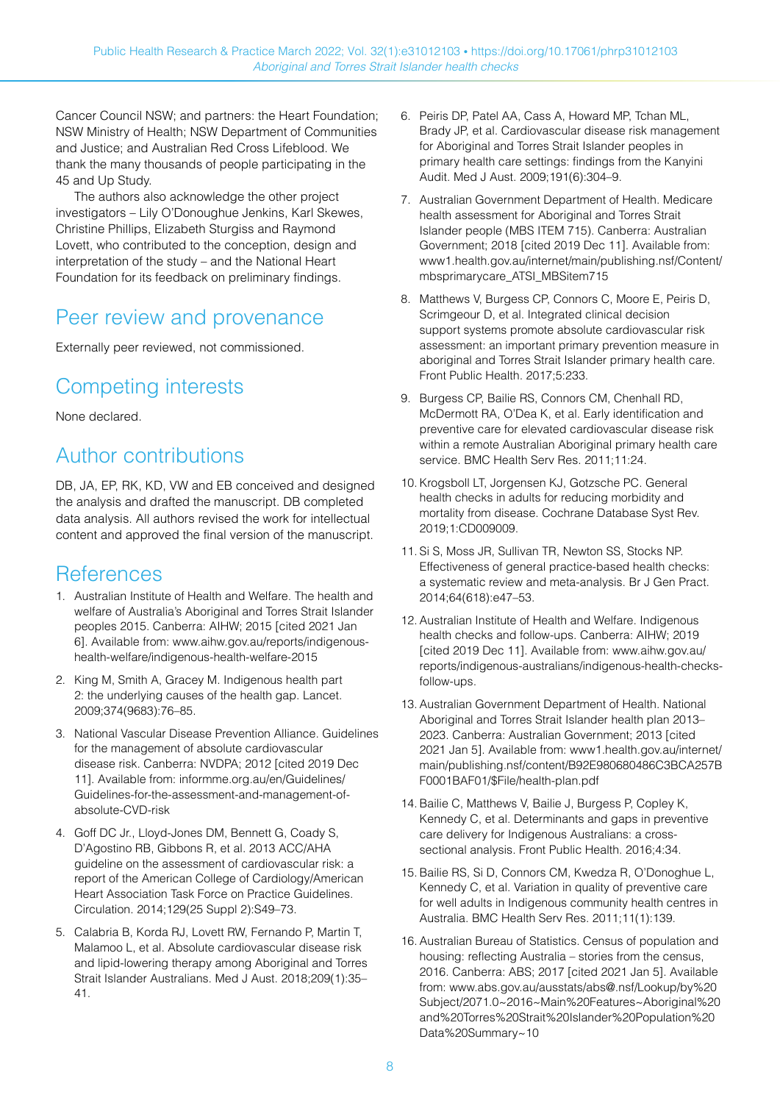Cancer Council NSW; and partners: the Heart Foundation; NSW Ministry of Health; NSW Department of Communities and Justice; and Australian Red Cross Lifeblood. We thank the many thousands of people participating in the 45 and Up Study.

The authors also acknowledge the other project investigators – Lily O'Donoughue Jenkins, Karl Skewes, Christine Phillips, Elizabeth Sturgiss and Raymond Lovett, who contributed to the conception, design and interpretation of the study – and the National Heart Foundation for its feedback on preliminary findings.

# Peer review and provenance

Externally peer reviewed, not commissioned.

# Competing interests

None declared.

# Author contributions

DB, JA, EP, RK, KD, VW and EB conceived and designed the analysis and drafted the manuscript. DB completed data analysis. All authors revised the work for intellectual content and approved the final version of the manuscript.

# References

- 1. Australian Institute of Health and Welfare. The health and welfare of Australia's Aboriginal and Torres Strait Islander peoples 2015. Canberra: AIHW; 2015 [cited 2021 Jan 6]. Available from: [www.aihw.gov.au/reports/indigenous](http://www.aihw.gov.au/reports/indigenous-health-welfare/indigenous-health-welfare-2015)[health-welfare/indigenous-health-welfare-2015](http://www.aihw.gov.au/reports/indigenous-health-welfare/indigenous-health-welfare-2015)
- 2. King M, Smith A, Gracey M. Indigenous health part 2: the underlying causes of the health gap. Lancet. 2009;374(9683):76–85.
- 3. National Vascular Disease Prevention Alliance. Guidelines for the management of absolute cardiovascular disease risk. Canberra: NVDPA; 2012 [cited 2019 Dec 11]. Available from: [informme.org.au/en/Guidelines/](https://informme.org.au/en/Guidelines/Guidelines-for-the-assessment-and-management-of-absolute-CVD-risk) [Guidelines-for-the-assessment-and-management-of](https://informme.org.au/en/Guidelines/Guidelines-for-the-assessment-and-management-of-absolute-CVD-risk)[absolute-CVD-risk](https://informme.org.au/en/Guidelines/Guidelines-for-the-assessment-and-management-of-absolute-CVD-risk)
- 4. Goff DC Jr., Lloyd-Jones DM, Bennett G, Coady S, D'Agostino RB, Gibbons R, et al. 2013 ACC/AHA guideline on the assessment of cardiovascular risk: a report of the American College of Cardiology/American Heart Association Task Force on Practice Guidelines. Circulation. 2014;129(25 Suppl 2):S49–73.
- 5. Calabria B, Korda RJ, Lovett RW, Fernando P, Martin T, Malamoo L, et al. Absolute cardiovascular disease risk and lipid-lowering therapy among Aboriginal and Torres Strait Islander Australians. Med J Aust. 2018;209(1):35– 41.
- 6. Peiris DP, Patel AA, Cass A, Howard MP, Tchan ML, Brady JP, et al. Cardiovascular disease risk management for Aboriginal and Torres Strait Islander peoples in primary health care settings: findings from the Kanyini Audit. Med J Aust. 2009;191(6):304–9.
- 7. Australian Government Department of Health. Medicare health assessment for Aboriginal and Torres Strait Islander people (MBS ITEM 715). Canberra: Australian Government; 2018 [cited 2019 Dec 11]. Available from: [www1.health.gov.au/internet/main/publishing.nsf/Content/](https://www1.health.gov.au/internet/main/publishing.nsf/Content/mbsprimarycare_ATSI_MBSitem715) [mbsprimarycare\\_ATSI\\_MBSitem715](https://www1.health.gov.au/internet/main/publishing.nsf/Content/mbsprimarycare_ATSI_MBSitem715)
- 8. Matthews V, Burgess CP, Connors C, Moore E, Peiris D, Scrimgeour D, et al. Integrated clinical decision support systems promote absolute cardiovascular risk assessment: an important primary prevention measure in aboriginal and Torres Strait Islander primary health care. Front Public Health. 2017;5:233.
- 9. Burgess CP, Bailie RS, Connors CM, Chenhall RD, McDermott RA, O'Dea K, et al. Early identification and preventive care for elevated cardiovascular disease risk within a remote Australian Aboriginal primary health care service. BMC Health Serv Res. 2011;11:24.
- 10. Krogsboll LT, Jorgensen KJ, Gotzsche PC. General health checks in adults for reducing morbidity and mortality from disease. Cochrane Database Syst Rev. 2019;1:CD009009.
- 11. Si S, Moss JR, Sullivan TR, Newton SS, Stocks NP. Effectiveness of general practice-based health checks: a systematic review and meta-analysis. Br J Gen Pract. 2014;64(618):e47–53.
- 12. Australian Institute of Health and Welfare. Indigenous health checks and follow-ups. Canberra: AIHW; 2019 [cited 2019 Dec 11]. Available from: [www.aihw.gov.au/](http://www.aihw.gov.au/reports/indigenous-australians/indigenous-health-checks-follow-ups) [reports/indigenous-australians/indigenous-health-checks](http://www.aihw.gov.au/reports/indigenous-australians/indigenous-health-checks-follow-ups)[follow-ups](http://www.aihw.gov.au/reports/indigenous-australians/indigenous-health-checks-follow-ups).
- 13. Australian Government Department of Health. National Aboriginal and Torres Strait Islander health plan 2013– 2023. Canberra: Australian Government; 2013 [cited 2021 Jan 5]. Available from: [www1.health.gov.au/internet/](https://www1.health.gov.au/internet/main/publishing.nsf/content/B92E980680486C3BCA257BF0001BAF01/$File/health-plan.pdf) [main/publishing.nsf/content/B92E980680486C3BCA257B](https://www1.health.gov.au/internet/main/publishing.nsf/content/B92E980680486C3BCA257BF0001BAF01/$File/health-plan.pdf) [F0001BAF01/\\$File/health-plan.pdf](https://www1.health.gov.au/internet/main/publishing.nsf/content/B92E980680486C3BCA257BF0001BAF01/$File/health-plan.pdf)
- 14. Bailie C, Matthews V, Bailie J, Burgess P, Copley K, Kennedy C, et al. Determinants and gaps in preventive care delivery for Indigenous Australians: a crosssectional analysis. Front Public Health. 2016;4:34.
- 15. Bailie RS, Si D, Connors CM, Kwedza R, O'Donoghue L, Kennedy C, et al. Variation in quality of preventive care for well adults in Indigenous community health centres in Australia. BMC Health Serv Res. 2011;11(1):139.
- 16. Australian Bureau of Statistics. Census of population and housing: reflecting Australia – stories from the census, 2016. Canberra: ABS; 2017 [cited 2021 Jan 5]. Available from: [www.abs.gov.au/ausstats/abs@.nsf/Lookup/by%20](https://www.abs.gov.au/ausstats/abs@.nsf/Lookup/by%20Subject/2071.0~2016~Main%20Features~Aboriginal%20and%20Torres%20Strait%20Islander%20Population%20Data%20Summary~10) [Subject/2071.0~2016~Main%20Features~Aboriginal%20](https://www.abs.gov.au/ausstats/abs@.nsf/Lookup/by%20Subject/2071.0~2016~Main%20Features~Aboriginal%20and%20Torres%20Strait%20Islander%20Population%20Data%20Summary~10) [and%20Torres%20Strait%20Islander%20Population%20](https://www.abs.gov.au/ausstats/abs@.nsf/Lookup/by%20Subject/2071.0~2016~Main%20Features~Aboriginal%20and%20Torres%20Strait%20Islander%20Population%20Data%20Summary~10) [Data%20Summary~10](https://www.abs.gov.au/ausstats/abs@.nsf/Lookup/by%20Subject/2071.0~2016~Main%20Features~Aboriginal%20and%20Torres%20Strait%20Islander%20Population%20Data%20Summary~10)